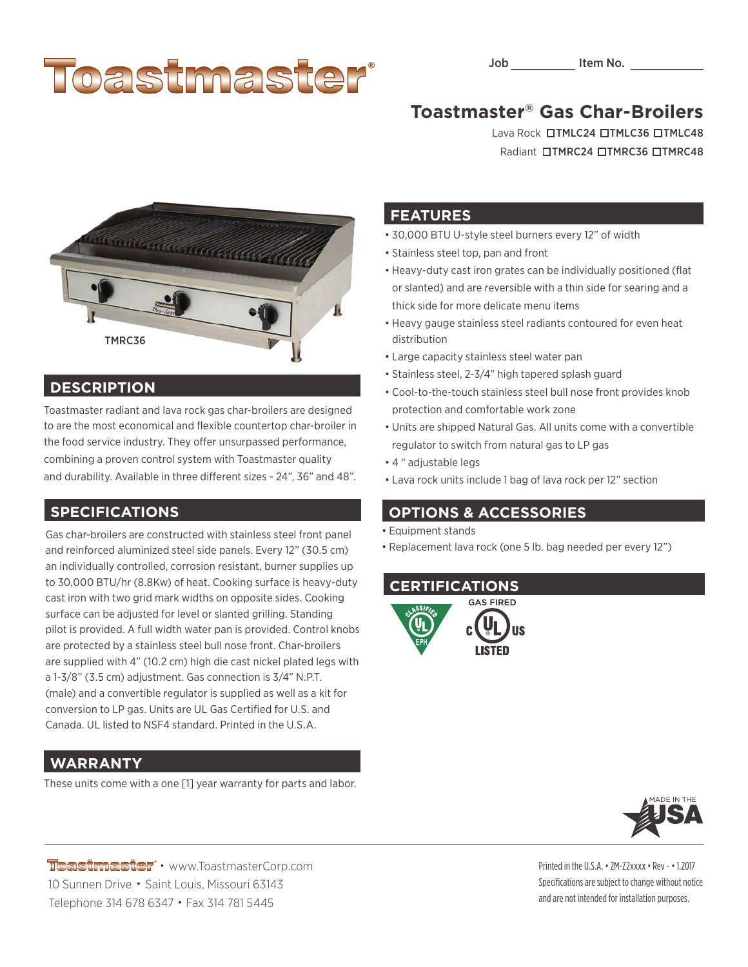# Toastmaster

## **Toastmaster® Gas Char-Broilers**

Lava Rock **OTMLC24 OTMLC36 OTMLC48** Radiant **OTMRC24 OTMRC36 OTMRC48** 



#### **DESCRIPTION**

Toastmaster radiant and lava rock gas char-broilers are designed to are the most economical and flexible countertop char-broiler in the food service industry. They offer unsurpassed performance, combining a proven control system with Toastmaster quality and durability. Available in three different sizes - 24", 36" and 48".

#### **SPECIFICATIONS**

Gas char-broilers are constructed with stainless steel front panel and reinforced aluminized steel side panels. Every 12" (30.5 cm) an individually controlled, corrosion resistant, burner supplies up to 30,000 BTU/hr (8.8Kw) of heat. Cooking surface is heavy-duty cast iron with two grid mark widths on opposite sides. Cooking surface can be adjusted for level or slanted grilling. Standing pilot is provided. A full width water pan is provided. Control knobs are protected by a stainless steel bull nose front. Char-broilers are supplied with 4" (10.2 cm) high die cast nickel plated legs with a 1-3/8" (3.5 cm) adjustment. Gas connection is 3/4" N.P.T. (male) and a convertible regulator is supplied as well as a kit for conversion to LP gas. Units are UL Gas Certified for U.S. and Canada. UL listed to NSF4 standard. Printed in the U.S.A.

### **WARRANTY**

These units come with a one [1] year warranty for parts and labor.

#### **FEATURES**

- 30,000 BTU U-style steel burners every 12" of width
- Stainless steel top, pan and front
- Heavy-duty cast iron grates can be individually positioned (flat or slanted) and are reversible with a thin side for searing and a thick side for more delicate menu items
- Heavy gauge stainless steel radiants contoured for even heat distribution
- Large capacity stainless steel water pan
- Stainless steel, 2-3/4" high tapered splash guard
- Cool-to-the-touch stainless steel bull nose front provides knob protection and comfortable work zone
- Units are shipped Natural Gas. All units come with a convertible regulator to switch from natural gas to LP gas
- 4 " adjustable legs
- Lava rock units include 1 bag of lava rock per 12" section

#### **OPTIONS & ACCESSORIES**

- Equipment stands
- Replacement lava rock (one 5 lb. bag needed per every 12")

#### **CERTIFICATIONS**





Toastmaster · www.ToastmasterCorp.com 10 Sunnen Drive • Saint Louis, Missouri 63143 Telephone 314 678 6347 • Fax 314 781 5445

Printed in the U.S.A. • 2M-Z2xxxx • Rev - • 1.2017 Specifications are subject to change without notice and are not intended for installation purposes.